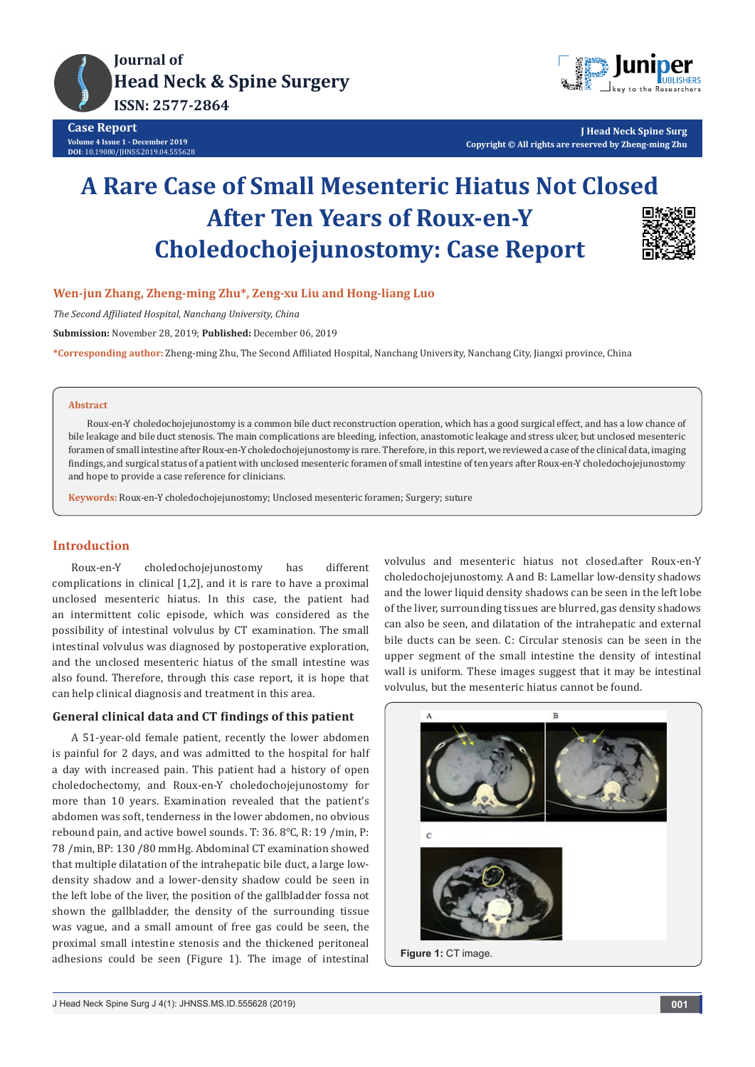



**J Head Neck Spine Surg Copyright © All rights are reserved by Zheng-ming Zhu**

# **A Rare Case of Small Mesenteric Hiatus Not Closed After Ten Years of Roux-en-Y Choledochojejunostomy: Case Report**



## **Wen-jun Zhang, Zheng-ming Zhu\*, Zeng-xu Liu and Hong-liang Luo**

*The Second Affiliated Hospital, Nanchang University, China*

**Submission:** November 28, 2019; **Published:** December 06, 2019

**\*Corresponding author:** Zheng-ming Zhu, The Second Affiliated Hospital, Nanchang University, Nanchang City, Jiangxi province, China

#### **Abstract**

Roux-en-Y choledochojejunostomy is a common bile duct reconstruction operation, which has a good surgical effect, and has a low chance of bile leakage and bile duct stenosis. The main complications are bleeding, infection, anastomotic leakage and stress ulcer, but unclosed mesenteric foramen of small intestine after Roux-en-Y choledochojejunostomy is rare. Therefore, in this report, we reviewed a case of the clinical data, imaging findings, and surgical status of a patient with unclosed mesenteric foramen of small intestine of ten years after Roux-en-Y choledochojejunostomy and hope to provide a case reference for clinicians.

**Keywords:** Roux-en-Y choledochojejunostomy; Unclosed mesenteric foramen; Surgery; suture

## **Introduction**

Roux-en-Y choledochojejunostomy has different complications in clinical [1,2], and it is rare to have a proximal unclosed mesenteric hiatus. In this case, the patient had an intermittent colic episode, which was considered as the possibility of intestinal volvulus by CT examination. The small intestinal volvulus was diagnosed by postoperative exploration, and the unclosed mesenteric hiatus of the small intestine was also found. Therefore, through this case report, it is hope that can help clinical diagnosis and treatment in this area.

## **General clinical data and CT findings of this patient**

A 51-year-old female patient, recently the lower abdomen is painful for 2 days, and was admitted to the hospital for half a day with increased pain. This patient had a history of open choledochectomy, and Roux-en-Y choledochojejunostomy for more than 10 years. Examination revealed that the patient's abdomen was soft, tenderness in the lower abdomen, no obvious rebound pain, and active bowel sounds. T: 36. 8℃, R: 19 /min, P: 78 /min, BP: 130 /80 mmHg. Abdominal CT examination showed that multiple dilatation of the intrahepatic bile duct, a large lowdensity shadow and a lower-density shadow could be seen in the left lobe of the liver, the position of the gallbladder fossa not shown the gallbladder, the density of the surrounding tissue was vague, and a small amount of free gas could be seen, the proximal small intestine stenosis and the thickened peritoneal adhesions could be seen (Figure 1). The image of intestinal

volvulus and mesenteric hiatus not closed.after Roux-en-Y choledochojejunostomy. A and B: Lamellar low-density shadows and the lower liquid density shadows can be seen in the left lobe of the liver, surrounding tissues are blurred, gas density shadows can also be seen, and dilatation of the intrahepatic and external bile ducts can be seen. C: Circular stenosis can be seen in the upper segment of the small intestine the density of intestinal wall is uniform. These images suggest that it may be intestinal volvulus, but the mesenteric hiatus cannot be found.

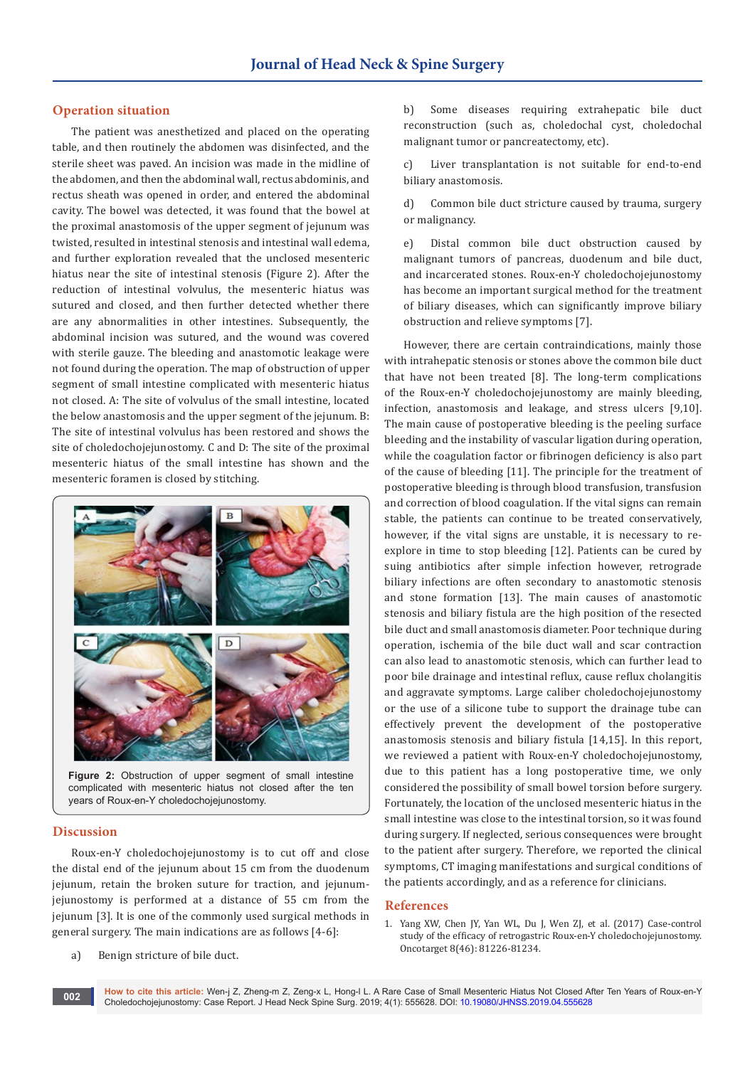## **Operation situation**

The patient was anesthetized and placed on the operating table, and then routinely the abdomen was disinfected, and the sterile sheet was paved. An incision was made in the midline of the abdomen, and then the abdominal wall, rectus abdominis, and rectus sheath was opened in order, and entered the abdominal cavity. The bowel was detected, it was found that the bowel at the proximal anastomosis of the upper segment of jejunum was twisted, resulted in intestinal stenosis and intestinal wall edema, and further exploration revealed that the unclosed mesenteric hiatus near the site of intestinal stenosis (Figure 2). After the reduction of intestinal volvulus, the mesenteric hiatus was sutured and closed, and then further detected whether there are any abnormalities in other intestines. Subsequently, the abdominal incision was sutured, and the wound was covered with sterile gauze. The bleeding and anastomotic leakage were not found during the operation. The map of obstruction of upper segment of small intestine complicated with mesenteric hiatus not closed. A: The site of volvulus of the small intestine, located the below anastomosis and the upper segment of the jejunum. B: The site of intestinal volvulus has been restored and shows the site of choledochojejunostomy. C and D: The site of the proximal mesenteric hiatus of the small intestine has shown and the mesenteric foramen is closed by stitching.



**Figure 2:** Obstruction of upper segment of small intestine complicated with mesenteric hiatus not closed after the ten years of Roux-en-Y choledochojejunostomy.

#### **Discussion**

Roux-en-Y choledochojejunostomy is to cut off and close the distal end of the jejunum about 15 cm from the duodenum jejunum, retain the broken suture for traction, and jejunumjejunostomy is performed at a distance of 55 cm from the jejunum [3]. It is one of the commonly used surgical methods in general surgery. The main indications are as follows [4-6]:

b) Some diseases requiring extrahepatic bile duct reconstruction (such as, choledochal cyst, choledochal malignant tumor or pancreatectomy, etc).

c) Liver transplantation is not suitable for end-to-end biliary anastomosis.

d) Common bile duct stricture caused by trauma, surgery or malignancy.

e) Distal common bile duct obstruction caused by malignant tumors of pancreas, duodenum and bile duct, and incarcerated stones. Roux-en-Y choledochojejunostomy has become an important surgical method for the treatment of biliary diseases, which can significantly improve biliary obstruction and relieve symptoms [7].

However, there are certain contraindications, mainly those with intrahepatic stenosis or stones above the common bile duct that have not been treated [8]. The long-term complications of the Roux-en-Y choledochojejunostomy are mainly bleeding, infection, anastomosis and leakage, and stress ulcers [9,10]. The main cause of postoperative bleeding is the peeling surface bleeding and the instability of vascular ligation during operation, while the coagulation factor or fibrinogen deficiency is also part of the cause of bleeding [11]. The principle for the treatment of postoperative bleeding is through blood transfusion, transfusion and correction of blood coagulation. If the vital signs can remain stable, the patients can continue to be treated conservatively, however, if the vital signs are unstable, it is necessary to reexplore in time to stop bleeding [12]. Patients can be cured by suing antibiotics after simple infection however, retrograde biliary infections are often secondary to anastomotic stenosis and stone formation [13]. The main causes of anastomotic stenosis and biliary fistula are the high position of the resected bile duct and small anastomosis diameter. Poor technique during operation, ischemia of the bile duct wall and scar contraction can also lead to anastomotic stenosis, which can further lead to poor bile drainage and intestinal reflux, cause reflux cholangitis and aggravate symptoms. Large caliber choledochojejunostomy or the use of a silicone tube to support the drainage tube can effectively prevent the development of the postoperative anastomosis stenosis and biliary fistula [14,15]. In this report, we reviewed a patient with Roux-en-Y choledochojejunostomy, due to this patient has a long postoperative time, we only considered the possibility of small bowel torsion before surgery. Fortunately, the location of the unclosed mesenteric hiatus in the small intestine was close to the intestinal torsion, so it was found during surgery. If neglected, serious consequences were brought to the patient after surgery. Therefore, we reported the clinical symptoms, CT imaging manifestations and surgical conditions of the patients accordingly, and as a reference for clinicians.

## **References**

1. [Yang XW, Chen JY, Yan WL, Du J, Wen ZJ, et al. \(2017\) Case-control](https://www.ncbi.nlm.nih.gov/pubmed/29113382)  [study of the efficacy of retrogastric Roux-en-Y choledochojejunostomy.](https://www.ncbi.nlm.nih.gov/pubmed/29113382)  [Oncotarget 8\(46\): 81226-81234.](https://www.ncbi.nlm.nih.gov/pubmed/29113382)

#### a) Benign stricture of bile duct.

**How to cite this article:** Wen-j Z, Zheng-m Z, Zeng-x L, Hong-l L. A Rare Case of Small Mesenteric Hiatus Not Closed After Ten Years of Roux-en-Y now to che this article: wen-j 2, Zheng-m 2, Zeng-x L, Hong-i L. A Rafe Case of Small Mesentenc Hiatus Not Closed Article: wen-j 2, Zheng-x L, Hong-i L. A Rafe Case of Small Mesentenc Hiatus Not Closed Article: **002**<br>Chole